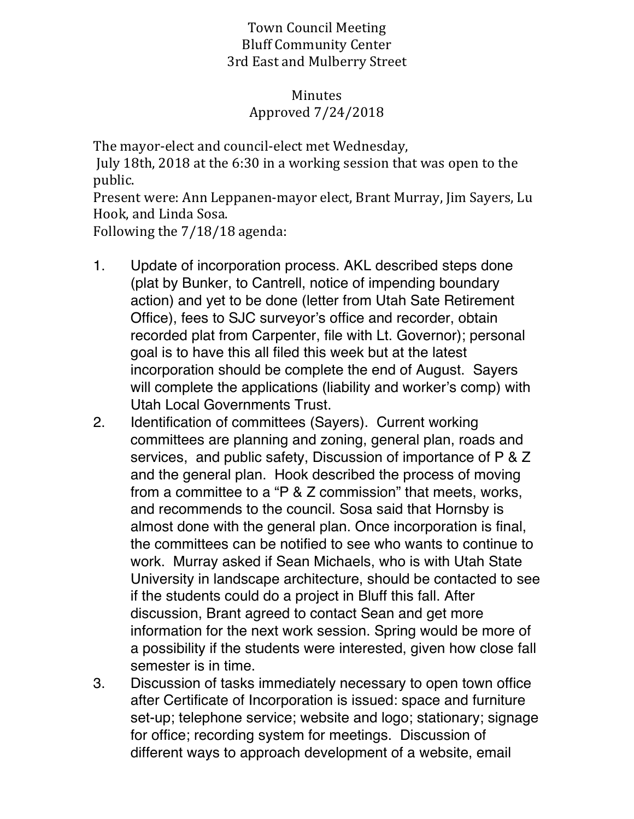## Town Council Meeting Bluff Community Center 3rd East and Mulberry Street

## Minutes Approved 7/24/2018

The mayor-elect and council-elect met Wednesday,

July 18th, 2018 at the 6:30 in a working session that was open to the public.

Present were: Ann Leppanen-mayor elect, Brant Murray, Jim Sayers, Lu Hook, and Linda Sosa.

Following the 7/18/18 agenda:

- 1. Update of incorporation process. AKL described steps done (plat by Bunker, to Cantrell, notice of impending boundary action) and yet to be done (letter from Utah Sate Retirement Office), fees to SJC surveyor's office and recorder, obtain recorded plat from Carpenter, file with Lt. Governor); personal goal is to have this all filed this week but at the latest incorporation should be complete the end of August. Sayers will complete the applications (liability and worker's comp) with Utah Local Governments Trust.
- 2. Identification of committees (Sayers). Current working committees are planning and zoning, general plan, roads and services, and public safety, Discussion of importance of P & Z and the general plan. Hook described the process of moving from a committee to a "P & Z commission" that meets, works, and recommends to the council. Sosa said that Hornsby is almost done with the general plan. Once incorporation is final, the committees can be notified to see who wants to continue to work. Murray asked if Sean Michaels, who is with Utah State University in landscape architecture, should be contacted to see if the students could do a project in Bluff this fall. After discussion, Brant agreed to contact Sean and get more information for the next work session. Spring would be more of a possibility if the students were interested, given how close fall semester is in time.
- 3. Discussion of tasks immediately necessary to open town office after Certificate of Incorporation is issued: space and furniture set-up; telephone service; website and logo; stationary; signage for office; recording system for meetings. Discussion of different ways to approach development of a website, email